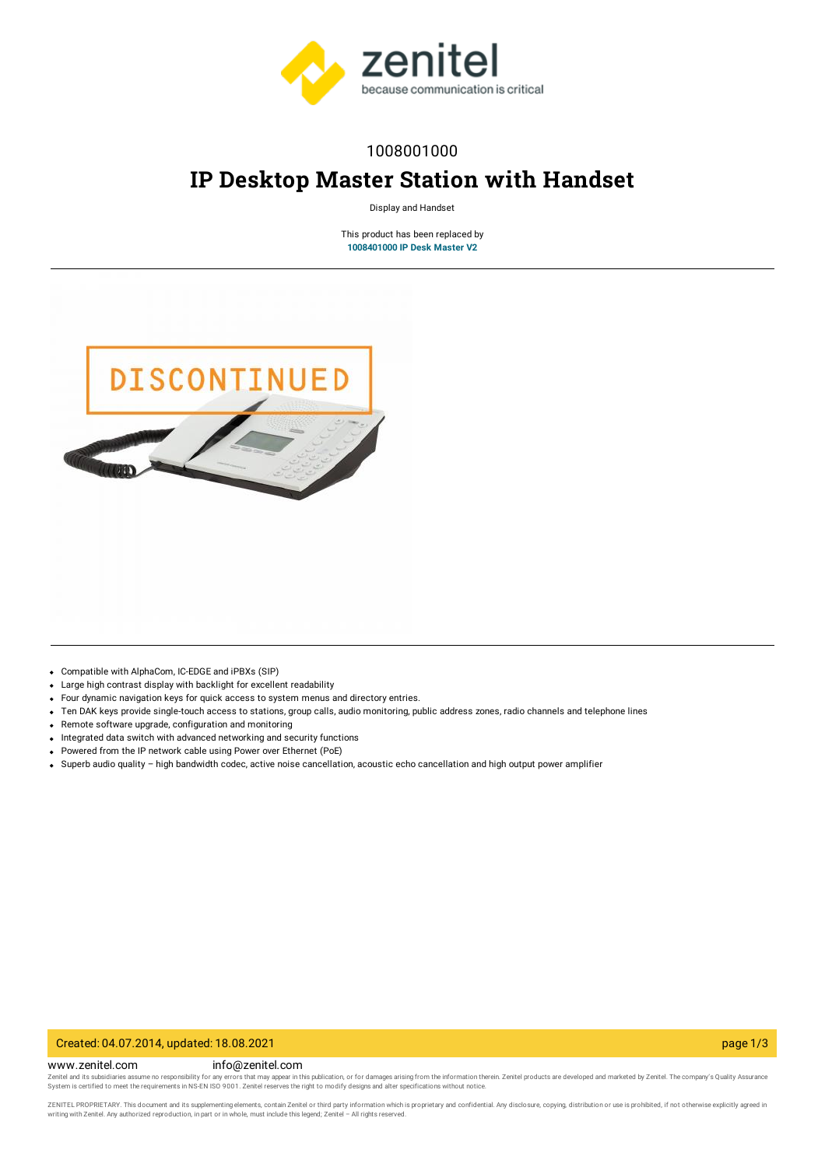

## 1008001000

# **IP Desktop Master Station with Handset**

Display and Handset

This product has been replaced by **[1008401000](https://www.zenitel.com/product/ip-desk-master-with-handset-V2) IP Desk Master V2**



- Compatible with AlphaCom, IC-EDGE and iPBXs (SIP)
- Large high contrast display with backlight for excellent readability
- Four dynamic navigation keys for quick access to system menus and directory entries.
- Ten DAK keys provide single-touch access to stations, group calls, audio monitoring, public address zones, radio channels and telephone lines  $\bullet$
- Remote software upgrade, configuration and monitoring
- Integrated data switch with advanced networking and security functions
- Powered from the IP network cable using Power over Ethernet (PoE)
- Superb audio quality high bandwidth codec, active noise cancellation, acoustic echo cancellation and high output power amplifier

### Created: 04.07.2014, updated: 18.08.2021 page 1/3

#### www.zenitel.com info@zenitel.com

Zenitel and its subsidiaries assume no responsibility for any errors that may appear in this publication, or for damages arising from the information therein. Zenitel products are developed and marketed by Zenitel. The com

ZENITEL PROPRIETARY. This document and its supplementing elements, contain Zenitel or third party information which is proprietary and confidential. Any disclosure, copying, distribution or use is prohibited, if not otherw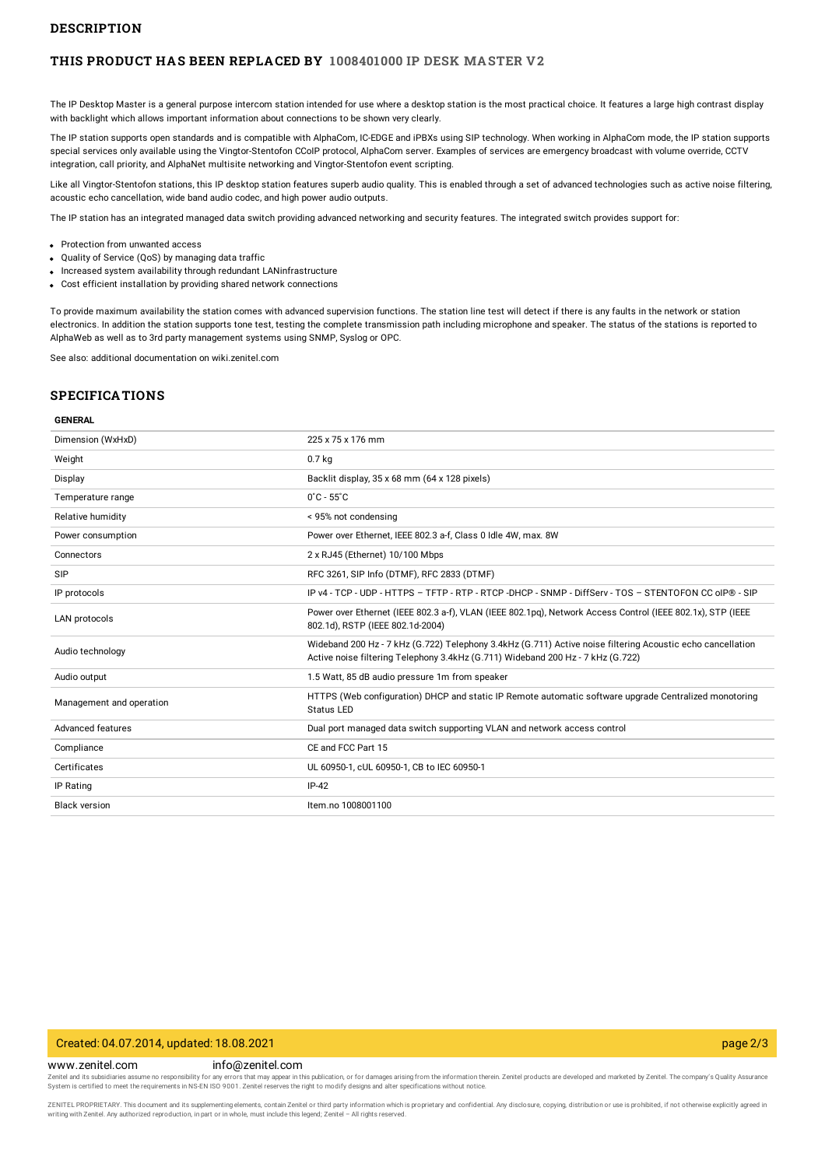#### **DESCRIPTION**

#### **THIS PRODUCT HAS BEEN REPLACED BY [1008401000](https://www.zenitel.com/product/ip-desk-master-with-handset-V2) IP DESK MASTER V2**

The IP Desktop Master is a general purpose intercom station intended for use where a desktop station is the most practical choice. It features a large high contrast display with backlight which allows important information about connections to be shown very clearly.

The IP station supports open standards and is compatible with AlphaCom, IC-EDGE and iPBXs using SIP technology. When working in AlphaCom mode, the IP station supports special services only available using the Vingtor-Stentofon CCoIP protocol, AlphaCom server. Examples of services are emergency broadcast with volume override, CCTV integration, call priority, and AlphaNet multisite networking and Vingtor-Stentofon event scripting.

Like all Vingtor-Stentofon stations, this IP desktop station features superb audio quality. This is enabled through a set of advanced technologies such as active noise filtering, acoustic echo cancellation, wide band audio codec, and high power audio outputs.

The IP station has an integrated managed data switch providing advanced networking and security features. The integrated switch provides support for:

- Protection from unwanted access
- Ouality of Service (OoS) by managing data traffic
- Increased system availability through redundant LANinfrastructure
- Cost efficient installation by providing shared network connections

To provide maximum availability the station comes with advanced supervision functions. The station line test will detect if there is any faults in the network or station electronics. In addition the station supports tone test, testing the complete transmission path including microphone and speaker. The status of the stations is reported to AlphaWeb as well as to 3rd party management systems using SNMP, Syslog or OPC.

See also: additional documentation on wiki.zenitel.com

## **SPECIFICATIONS**

#### **GENERAL**

| Dimension (WxHxD)        | 225 x 75 x 176 mm                                                                                                                                                                             |
|--------------------------|-----------------------------------------------------------------------------------------------------------------------------------------------------------------------------------------------|
| Weight                   | 0.7 <sub>kq</sub>                                                                                                                                                                             |
| Display                  | Backlit display, 35 x 68 mm (64 x 128 pixels)                                                                                                                                                 |
| Temperature range        | $0^{\circ}$ C - 55 $^{\circ}$ C                                                                                                                                                               |
| Relative humidity        | < 95% not condensing                                                                                                                                                                          |
| Power consumption        | Power over Ethernet, IEEE 802.3 a-f, Class 0 Idle 4W, max. 8W                                                                                                                                 |
| Connectors               | 2 x RJ45 (Ethernet) 10/100 Mbps                                                                                                                                                               |
| SIP                      | RFC 3261, SIP Info (DTMF), RFC 2833 (DTMF)                                                                                                                                                    |
| IP protocols             | IP v4 - TCP - UDP - HTTPS - TFTP - RTP - RTCP -DHCP - SNMP - DiffServ - TOS - STENTOFON CC oIP® - SIP                                                                                         |
| <b>LAN</b> protocols     | Power over Ethernet (IEEE 802.3 a-f), VLAN (IEEE 802.1pg), Network Access Control (IEEE 802.1x), STP (IEEE<br>802.1d), RSTP (IEEE 802.1d-2004)                                                |
| Audio technology         | Wideband 200 Hz - 7 kHz (G.722) Telephony 3.4kHz (G.711) Active noise filtering Acoustic echo cancellation<br>Active noise filtering Telephony 3.4kHz (G.711) Wideband 200 Hz - 7 kHz (G.722) |
| Audio output             | 1.5 Watt, 85 dB audio pressure 1m from speaker                                                                                                                                                |
| Management and operation | HTTPS (Web configuration) DHCP and static IP Remote automatic software upgrade Centralized monotoring<br><b>Status LED</b>                                                                    |
| Advanced features        | Dual port managed data switch supporting VLAN and network access control                                                                                                                      |
| Compliance               | CE and FCC Part 15                                                                                                                                                                            |
| Certificates             | UL 60950-1, cUL 60950-1, CB to IEC 60950-1                                                                                                                                                    |
| IP Rating                | $IP-42$                                                                                                                                                                                       |
| <b>Black version</b>     | Item.no 1008001100                                                                                                                                                                            |
|                          |                                                                                                                                                                                               |

#### Created: 04.07.2014, updated: 18.08.2021 page 2/3

www.zenitel.com info@zenitel.com

Zenitel and its subsidiaries assume no responsibility for any errors that may appear in this publication, or for damages arising from the information therein. Zenitel products are developed and marketed by Zenitel. The com

ZENITEL PROPRIETARY. This document and its supplementing elements, contain Zenitel or third party information which is proprietary and confidential. Any disclosure, copying, distribution or use is prohibited, if not otherw